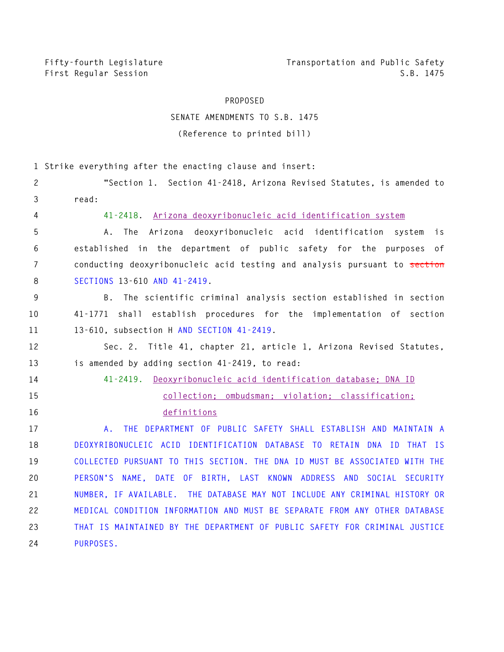**Fifty-fourth Legislature Transportation and Public Safety First Regular Session S.B. 1475** 

## **PROPOSED**

## **SENATE AMENDMENTS TO S.B. 1475 (Reference to printed bill)**

**1 Strike everything after the enacting clause and insert: 2 "Section 1. Section 41-2418, Arizona Revised Statutes, is amended to 3 read: 4 41-2418. Arizona deoxyribonucleic acid identification system 5 A. The Arizona deoxyribonucleic acid identification system is 6 established in the department of public safety for the purposes of 7 conducting deoxyribonucleic acid testing and analysis pursuant to section 8 SECTIONS 13-610 AND 41-2419. 9 B. The scientific criminal analysis section established in section 10 41-1771 shall establish procedures for the implementation of section 11 13-610, subsection H AND SECTION 41-2419. 12 Sec. 2. Title 41, chapter 21, article 1, Arizona Revised Statutes, 13 is amended by adding section 41-2419, to read: 14 41-2419. Deoxyribonucleic acid identification database; DNA ID 15 collection; ombudsman; violation; classification; 16 definitions 17 A. THE DEPARTMENT OF PUBLIC SAFETY SHALL ESTABLISH AND MAINTAIN A 18 DEOXYRIBONUCLEIC ACID IDENTIFICATION DATABASE TO RETAIN DNA ID THAT IS 19 COLLECTED PURSUANT TO THIS SECTION. THE DNA ID MUST BE ASSOCIATED WITH THE 20 PERSON'S NAME, DATE OF BIRTH, LAST KNOWN ADDRESS AND SOCIAL SECURITY 21 NUMBER, IF AVAILABLE. THE DATABASE MAY NOT INCLUDE ANY CRIMINAL HISTORY OR 22 MEDICAL CONDITION INFORMATION AND MUST BE SEPARATE FROM ANY OTHER DATABASE 23 THAT IS MAINTAINED BY THE DEPARTMENT OF PUBLIC SAFETY FOR CRIMINAL JUSTICE 24 PURPOSES.**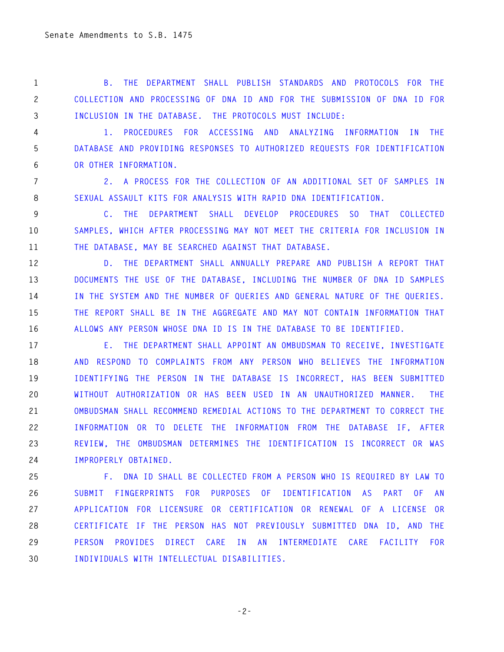**1 B. THE DEPARTMENT SHALL PUBLISH STANDARDS AND PROTOCOLS FOR THE 2 COLLECTION AND PROCESSING OF DNA ID AND FOR THE SUBMISSION OF DNA ID FOR 3 INCLUSION IN THE DATABASE. THE PROTOCOLS MUST INCLUDE:** 

**4 1. PROCEDURES FOR ACCESSING AND ANALYZING INFORMATION IN THE 5 DATABASE AND PROVIDING RESPONSES TO AUTHORIZED REQUESTS FOR IDENTIFICATION 6 OR OTHER INFORMATION.** 

**7 2. A PROCESS FOR THE COLLECTION OF AN ADDITIONAL SET OF SAMPLES IN 8 SEXUAL ASSAULT KITS FOR ANALYSIS WITH RAPID DNA IDENTIFICATION.** 

**9 C. THE DEPARTMENT SHALL DEVELOP PROCEDURES SO THAT COLLECTED 10 SAMPLES, WHICH AFTER PROCESSING MAY NOT MEET THE CRITERIA FOR INCLUSION IN 11 THE DATABASE, MAY BE SEARCHED AGAINST THAT DATABASE.** 

**12 D. THE DEPARTMENT SHALL ANNUALLY PREPARE AND PUBLISH A REPORT THAT 13 DOCUMENTS THE USE OF THE DATABASE, INCLUDING THE NUMBER OF DNA ID SAMPLES 14 IN THE SYSTEM AND THE NUMBER OF QUERIES AND GENERAL NATURE OF THE QUERIES. 15 THE REPORT SHALL BE IN THE AGGREGATE AND MAY NOT CONTAIN INFORMATION THAT 16 ALLOWS ANY PERSON WHOSE DNA ID IS IN THE DATABASE TO BE IDENTIFIED.** 

**17 E. THE DEPARTMENT SHALL APPOINT AN OMBUDSMAN TO RECEIVE, INVESTIGATE 18 AND RESPOND TO COMPLAINTS FROM ANY PERSON WHO BELIEVES THE INFORMATION 19 IDENTIFYING THE PERSON IN THE DATABASE IS INCORRECT, HAS BEEN SUBMITTED 20 WITHOUT AUTHORIZATION OR HAS BEEN USED IN AN UNAUTHORIZED MANNER. THE 21 OMBUDSMAN SHALL RECOMMEND REMEDIAL ACTIONS TO THE DEPARTMENT TO CORRECT THE 22 INFORMATION OR TO DELETE THE INFORMATION FROM THE DATABASE IF, AFTER 23 REVIEW, THE OMBUDSMAN DETERMINES THE IDENTIFICATION IS INCORRECT OR WAS 24 IMPROPERLY OBTAINED.** 

**25 F. DNA ID SHALL BE COLLECTED FROM A PERSON WHO IS REQUIRED BY LAW TO 26 SUBMIT FINGERPRINTS FOR PURPOSES OF IDENTIFICATION AS PART OF AN 27 APPLICATION FOR LICENSURE OR CERTIFICATION OR RENEWAL OF A LICENSE OR 28 CERTIFICATE IF THE PERSON HAS NOT PREVIOUSLY SUBMITTED DNA ID, AND THE 29 PERSON PROVIDES DIRECT CARE IN AN INTERMEDIATE CARE FACILITY FOR 30 INDIVIDUALS WITH INTELLECTUAL DISABILITIES.** 

**-2-**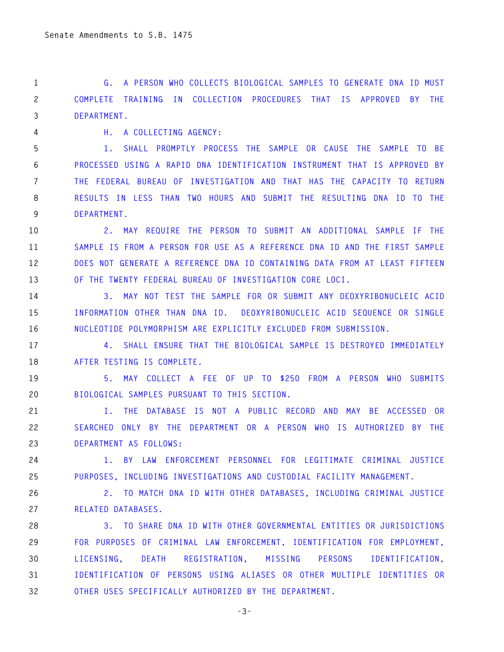**1 G. A PERSON WHO COLLECTS BIOLOGICAL SAMPLES TO GENERATE DNA ID MUST 2 COMPLETE TRAINING IN COLLECTION PROCEDURES THAT IS APPROVED BY THE 3 DEPARTMENT.** 

**4 H. A COLLECTING AGENCY:** 

**5 1. SHALL PROMPTLY PROCESS THE SAMPLE OR CAUSE THE SAMPLE TO BE 6 PROCESSED USING A RAPID DNA IDENTIFICATION INSTRUMENT THAT IS APPROVED BY 7 THE FEDERAL BUREAU OF INVESTIGATION AND THAT HAS THE CAPACITY TO RETURN 8 RESULTS IN LESS THAN TWO HOURS AND SUBMIT THE RESULTING DNA ID TO THE 9 DEPARTMENT.** 

**10 2. MAY REQUIRE THE PERSON TO SUBMIT AN ADDITIONAL SAMPLE IF THE 11 SAMPLE IS FROM A PERSON FOR USE AS A REFERENCE DNA ID AND THE FIRST SAMPLE 12 DOES NOT GENERATE A REFERENCE DNA ID CONTAINING DATA FROM AT LEAST FIFTEEN 13 OF THE TWENTY FEDERAL BUREAU OF INVESTIGATION CORE LOCI.** 

**14 3. MAY NOT TEST THE SAMPLE FOR OR SUBMIT ANY DEOXYRIBONUCLEIC ACID 15 INFORMATION OTHER THAN DNA ID. DEOXYRIBONUCLEIC ACID SEQUENCE OR SINGLE 16 NUCLEOTIDE POLYMORPHISM ARE EXPLICITLY EXCLUDED FROM SUBMISSION.** 

**17 4. SHALL ENSURE THAT THE BIOLOGICAL SAMPLE IS DESTROYED IMMEDIATELY 18 AFTER TESTING IS COMPLETE.** 

**19 5. MAY COLLECT A FEE OF UP TO \$250 FROM A PERSON WHO SUBMITS 20 BIOLOGICAL SAMPLES PURSUANT TO THIS SECTION.** 

**21 I. THE DATABASE IS NOT A PUBLIC RECORD AND MAY BE ACCESSED OR 22 SEARCHED ONLY BY THE DEPARTMENT OR A PERSON WHO IS AUTHORIZED BY THE 23 DEPARTMENT AS FOLLOWS:** 

**24 1. BY LAW ENFORCEMENT PERSONNEL FOR LEGITIMATE CRIMINAL JUSTICE 25 PURPOSES, INCLUDING INVESTIGATIONS AND CUSTODIAL FACILITY MANAGEMENT.** 

**26 2. TO MATCH DNA ID WITH OTHER DATABASES, INCLUDING CRIMINAL JUSTICE 27 RELATED DATABASES.** 

**28 3. TO SHARE DNA ID WITH OTHER GOVERNMENTAL ENTITIES OR JURISDICTIONS 29 FOR PURPOSES OF CRIMINAL LAW ENFORCEMENT, IDENTIFICATION FOR EMPLOYMENT, 30 LICENSING, DEATH REGISTRATION, MISSING PERSONS IDENTIFICATION, 31 IDENTIFICATION OF PERSONS USING ALIASES OR OTHER MULTIPLE IDENTITIES OR 32 OTHER USES SPECIFICALLY AUTHORIZED BY THE DEPARTMENT.**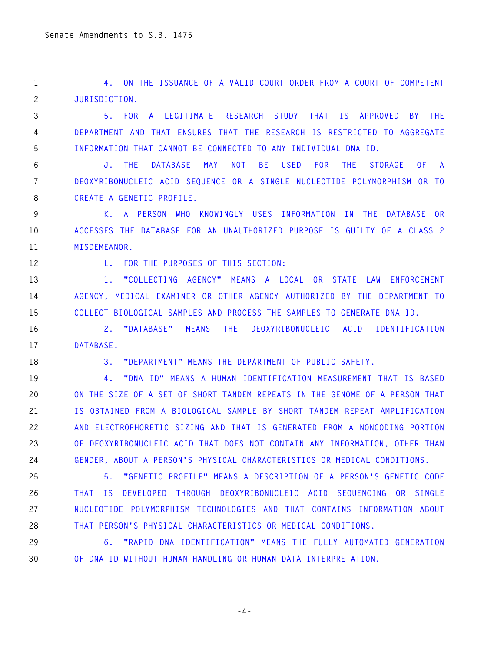**1 4. ON THE ISSUANCE OF A VALID COURT ORDER FROM A COURT OF COMPETENT 2 JURISDICTION.** 

**3 5. FOR A LEGITIMATE RESEARCH STUDY THAT IS APPROVED BY THE 4 DEPARTMENT AND THAT ENSURES THAT THE RESEARCH IS RESTRICTED TO AGGREGATE 5 INFORMATION THAT CANNOT BE CONNECTED TO ANY INDIVIDUAL DNA ID.** 

**6 J. THE DATABASE MAY NOT BE USED FOR THE STORAGE OF A 7 DEOXYRIBONUCLEIC ACID SEQUENCE OR A SINGLE NUCLEOTIDE POLYMORPHISM OR TO 8 CREATE A GENETIC PROFILE.** 

**9 K. A PERSON WHO KNOWINGLY USES INFORMATION IN THE DATABASE OR 10 ACCESSES THE DATABASE FOR AN UNAUTHORIZED PURPOSE IS GUILTY OF A CLASS 2 11 MISDEMEANOR.** 

**12 L. FOR THE PURPOSES OF THIS SECTION:** 

**13 1. "COLLECTING AGENCY" MEANS A LOCAL OR STATE LAW ENFORCEMENT 14 AGENCY, MEDICAL EXAMINER OR OTHER AGENCY AUTHORIZED BY THE DEPARTMENT TO 15 COLLECT BIOLOGICAL SAMPLES AND PROCESS THE SAMPLES TO GENERATE DNA ID.** 

**16 2. "DATABASE" MEANS THE DEOXYRIBONUCLEIC ACID IDENTIFICATION 17 DATABASE.** 

**18 3. "DEPARTMENT" MEANS THE DEPARTMENT OF PUBLIC SAFETY.** 

**19 4. "DNA ID" MEANS A HUMAN IDENTIFICATION MEASUREMENT THAT IS BASED 20 ON THE SIZE OF A SET OF SHORT TANDEM REPEATS IN THE GENOME OF A PERSON THAT 21 IS OBTAINED FROM A BIOLOGICAL SAMPLE BY SHORT TANDEM REPEAT AMPLIFICATION 22 AND ELECTROPHORETIC SIZING AND THAT IS GENERATED FROM A NONCODING PORTION 23 OF DEOXYRIBONUCLEIC ACID THAT DOES NOT CONTAIN ANY INFORMATION, OTHER THAN 24 GENDER, ABOUT A PERSON'S PHYSICAL CHARACTERISTICS OR MEDICAL CONDITIONS.** 

**25 5. "GENETIC PROFILE" MEANS A DESCRIPTION OF A PERSON'S GENETIC CODE 26 THAT IS DEVELOPED THROUGH DEOXYRIBONUCLEIC ACID SEQUENCING OR SINGLE 27 NUCLEOTIDE POLYMORPHISM TECHNOLOGIES AND THAT CONTAINS INFORMATION ABOUT 28 THAT PERSON'S PHYSICAL CHARACTERISTICS OR MEDICAL CONDITIONS.** 

**29 6. "RAPID DNA IDENTIFICATION" MEANS THE FULLY AUTOMATED GENERATION 30 OF DNA ID WITHOUT HUMAN HANDLING OR HUMAN DATA INTERPRETATION.** 

**-4-**